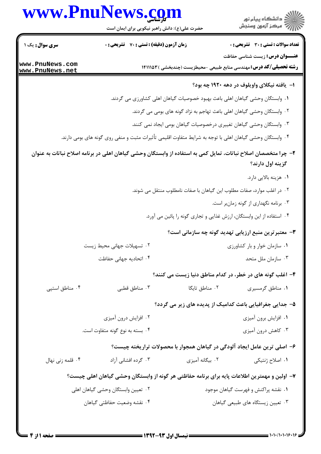## www.PnuNews.com

www. www.

|                  | www.PnuNews.com                                                                                                | ر<br>دانشڪاه پيام نور)<br>اڳ مرڪز آزمون وسنڊش                                 |
|------------------|----------------------------------------------------------------------------------------------------------------|-------------------------------------------------------------------------------|
|                  | حضرت علی(ع): دانش راهبر نیکویی برای ایمان است                                                                  |                                                                               |
| سری سوال: یک ۱   | <b>زمان آزمون (دقیقه) : تستی : 70 قشریحی : 0</b>                                                               | <b>تعداد سوالات : تستی : 30 - تشریحی : 0</b>                                  |
| ww.PnuNews.com   |                                                                                                                | <b>عنـــوان درس:</b> زیست شناسی حفاظت                                         |
| ww.PnuNews.net   |                                                                                                                | <b>رشته تحصیلی/کد درس:</b> مهندسی منابع طبیعی -محیطزیست (چندبخشی ) ۱۴۱۱۱۵۳    |
|                  |                                                                                                                | ا– یافته نیکلای واویلوف در دهه ۱۹۲۰ چه بود؟                                   |
|                  |                                                                                                                | ٠١ وابستگان وحشي گياهان اهلي باعث بهبود خصوصيات گياهان اهلي كشاورزي مي گردند. |
|                  |                                                                                                                | ۰۲ وابستگان وحشی گیاهان اهلی باعث تهاجم به نژاد گونه های بومی می گردند.       |
|                  |                                                                                                                | ۰۳ وابستگان وحشی گیاهان تغییری درخصوصیات گیاهان بومی ایجاد نمی کنند.          |
|                  | ۰۴ وابستگان وحشی گیاهان اهلی با توجه به شرایط متفاوت اقلیمی تأثیرات مثبت و منفی روی گونه های بومی دارند.       |                                                                               |
|                  | ۲– چرا متخصصان اصلاح نباتات، تمایل کمی به استفاده از وابستگان وحشی گیاهان اهلی در برنامه اصلاح نباتات به عنوان | گزینه اول دارند؟                                                              |
|                  |                                                                                                                | ۰۱ هزینه بالایی دارد.                                                         |
|                  |                                                                                                                | ۲۰ در اغلب موارد، صفات مطلوب این گیاهان با صفات نامطلوب منتقل می شوند.        |
|                  |                                                                                                                | ۰۳ برنامه نگهداری از گونه زمانبر است.                                         |
|                  |                                                                                                                | ۰۴ استفاده از این وابستگان، ارزش غذایی و تجاری گونه را پائین می آورد.         |
|                  |                                                                                                                | ۳- معتبر ترین منبع ارزیابی تهدید گونه چه سازمانی است؟                         |
|                  | ۰۲ تسهیلات جهانی محیط زیست                                                                                     | ۰۱ سازمان خوار و بار کشاورزی                                                  |
|                  | ۰۴ اتحادیه جهانی حفاظت                                                                                         | ۰۳ سازمان ملل متحد                                                            |
|                  |                                                                                                                | ۴- اغلب گونه های در خطر، در کدام مناطق دنیا زیست می کنند؟                     |
| ۰۴ مناطق استپی   | ۰۳ مناطق قطبی                                                                                                  | ۰۲ مناطق تایگا<br>۰۱ مناطق گرمسیری                                            |
|                  |                                                                                                                | ۵– جدایی جغرافیایی باعث کدامیک از پدیده های زیر می گردد؟                      |
|                  | ۰۲ افزایش درون آمیزی                                                                                           | ۰۱ افزایش برون آمیزی                                                          |
|                  | ۰۴ بسته به نوع گونه متفاوت است.                                                                                | ۰۳ کاهش درون آمیزی                                                            |
|                  |                                                                                                                | ۶– اصلی ترین عامل ایجاد آلودگی در گیاهان همجوار با محصولات تراریخته چیست؟     |
| ۰۴ قلمه زنی نهال | ۰۳ گرده افشانی آزاد                                                                                            | ۰۲ بیگانه آمیزی<br>۰۱ اصلاح ژنتیکی                                            |
|                  | ۷– اولین و مهمترین اطلاعات پایه برای برنامه حفاظتی هر گونه از وابستگان وحشی گیاهان اهلی چیست؟                  |                                                                               |
|                  | ۰۲ تعیین وابستگان وحشی گیاهان اهلی                                                                             | ۰۱ نقشه پراکنش و فهرست گیاهان موجود                                           |
|                  | ۰۴ نقشه وضعيت حفاظتي گياهان                                                                                    | ۰۳ تعیین زیستگاه های طبیعی گیاهان                                             |
|                  |                                                                                                                |                                                                               |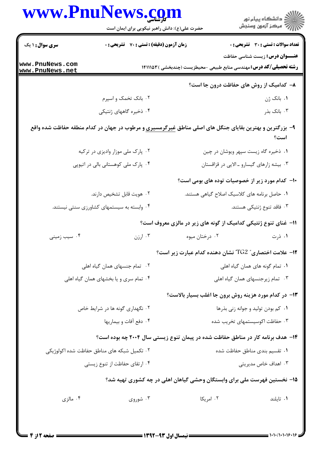|                               | حضرت علی(ع): دانش راهبر نیکویی برای ایمان است                                                                  |                                                                                 | ِ<br>∭ دانشڪاه پيام نور<br>∭ مرڪز آزمون وسنڊش |
|-------------------------------|----------------------------------------------------------------------------------------------------------------|---------------------------------------------------------------------------------|-----------------------------------------------|
| <b>سری سوال : ۱ یک</b>        | زمان آزمون (دقیقه) : تستی : 70 ٪ تشریحی : 0                                                                    |                                                                                 | <b>تعداد سوالات : تستی : 30 ٪ تشریحی : 0</b>  |
| www.PnuNews.com               |                                                                                                                | <b>رشته تحصیلی/کد درس:</b> مهندسی منابع طبیعی -محیطزیست (چندبخشی ) ۱۴۱۱۱۵۳      | <b>عنـــوان درس:</b> زیست شناسی حفاظت         |
| www.PnuNews.net               |                                                                                                                | ۸- کدامیک از روش های حفاظت درون جا است؟                                         |                                               |
|                               | ۰۲ بانک تخمک و اسپرم                                                                                           |                                                                                 | ۰۱ بانک ژن                                    |
|                               | ۰۴ ذخیره گاههای ژنتیکی                                                                                         |                                                                                 | ۰۳ بانک بذر                                   |
|                               | ۹- بزرگترین و بهترین بقایای جنگل های اصلی مناطق <u>غیرگرمسیری</u> و مرطوب در جهان در کدام منطقه حفاظت شده واقع |                                                                                 | است؟                                          |
|                               | ۰۲ پارک ملی موزار وادیزی در ترکیه                                                                              |                                                                                 | ۰۱ ذخیره گاه زیست سپهر ویوشان در چین          |
|                               | ۰۴ پارک ملی کوهستانی بالی در اتیوپی                                                                            |                                                                                 | ۰۳ بیشه زارهای گیسارو ـ الایی در قزاقستان     |
|                               |                                                                                                                | ۱۰– کدام مورد زیر از خصوصیات توده های بومی است؟                                 |                                               |
|                               | ۰۲ هويت قابل تشخيص دارند.                                                                                      | ٠١ حاصل برنامه هاى كلاسيك اصلاح گياهى هستند.                                    |                                               |
|                               | ۰۴ وابسته به سیستمهای کشاورزی سنتی نیستند.                                                                     |                                                                                 | ۰۳ فاقد تنوع ژنتیکی هستند.                    |
|                               |                                                                                                                | 1۱– غنای تنوع ژنتیکی کدامیک از گونه های زیر در مالزی معروف است؟                 |                                               |
| ۰۴ سیب زمینی                  | ارزن $\cdot^{\mathsf{r}}$                                                                                      | ۰۲ درختان میوه                                                                  | ۰۱ ذرت                                        |
|                               |                                                                                                                | ۱۲- علامت اختصاری ً TG2 ً نشان دهنده کدام عبارت زیر است؟                        |                                               |
|                               | ۰۲ تمام جنسهای همان گیاه اهلی                                                                                  |                                                                                 | ۰۱ تمام گونه های همان گیاه اهلی               |
|                               | ۰۴ تمام سری و یا بخشهای همان گیاه اهلی                                                                         |                                                                                 | ۰۳ تمام زیرجنسهای همان گیاه اهلی              |
|                               |                                                                                                                | <b>۱۳</b> - در کدام مورد هزینه روش برون جا اغلب بسیار بالاست؟                   |                                               |
|                               | ۰۲ نگهداری گونه ها در شرایط خاص                                                                                |                                                                                 | ۰۱ کم بودن تولید و جوانه زنی بذرها            |
|                               | ۰۴ دفع أفات و بيماريها                                                                                         |                                                                                 | ۰۳ حفاظت اکوسیستمهای تخریب شده                |
|                               |                                                                                                                | ۱۴- هدف برنامه کار در مناطق حفاظت شده در پیمان تنوع زیستی سال ۲۰۰۴ چه بوده است؟ |                                               |
|                               | ۲. تکمیل شبکه های مناطق حفاظت شده اکولوژیکی                                                                    |                                                                                 | ٠١ تقسيم بندى مناطق حفاظت شده                 |
| ۰۴ ارتقای حفاظت از تنوع زیستی |                                                                                                                |                                                                                 | ۰۳ اهداف خاص مدیریتی                          |
|                               |                                                                                                                | ۱۵– نخستین فهرست ملی برای وابستگان وحشی گیاهان اهلی در چه کشوری تهیه شد؟        |                                               |
| ۰۴ مالزی                      | ۰۳ شوروی                                                                                                       | ۰۲ امریکا                                                                       | ۰۱ تايلند                                     |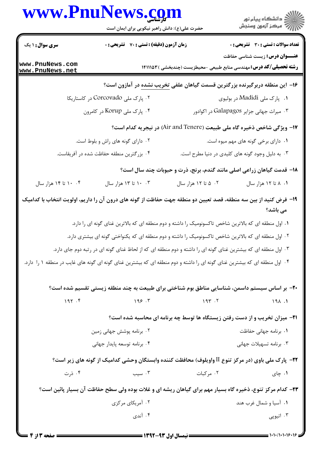|                                    | www.PnuNews.com<br>حضرت علی(ع): دانش راهبر نیکویی برای ایمان است                                                          |                      | الاد دانشگاه پيام نور<br>الا مرکز آزمون وسنجش                                                                       |
|------------------------------------|---------------------------------------------------------------------------------------------------------------------------|----------------------|---------------------------------------------------------------------------------------------------------------------|
| <b>سری سوال :</b> ۱ یک             | زمان آزمون (دقیقه) : تستی : 70 گشریحی : 0                                                                                 |                      | <b>تعداد سوالات : تستی : 30 ٪ تشریحی : 0</b>                                                                        |
| www.PnuNews.com<br>www.PnuNews.net |                                                                                                                           |                      | <b>عنـــوان درس:</b> زیست شناسی حفاظت<br><b>رشته تحصیلی/کد درس:</b> مهندسی منابع طبیعی -محیطزیست (چندبخشی ) ۱۴۱۱۱۵۳ |
|                                    |                                                                                                                           |                      | ۱۶– این منطقه دربرگیرنده بزرگترین قسمت گیاهان علفی <u>تخریب نشده</u> در آمازون است؟                                 |
|                                    | ۰۲ پارک ملی Corcovado در کاستاریکا                                                                                        |                      | ۰۱    پارک ملی Madidi در بولیوی                                                                                     |
|                                    | ۰۴ پارک ملی Korup در کامرون                                                                                               |                      | ۰۳ میراث جهانی جزایر Galapagos در اکوادور                                                                           |
|                                    |                                                                                                                           |                      | ۱۷- ویژگی شاخص ذخیره گاه ملی طبیعت (Air and Tenere) در نیجریه کدام است؟                                             |
|                                    | ۰۲ دارای گونه های راش و بلوط است.                                                                                         |                      | ۰۱ دارای برخی گونه های مهم میوه است.                                                                                |
|                                    | ۰۴ بزرگترین منطقه حفاظت شده در آفریقاست.                                                                                  |                      | ۰۳ به دلیل وجود گونه های کلیدی در دنیا مطرح است.                                                                    |
|                                    |                                                                                                                           |                      | ۱۸- قدمت گیاهان زراعی اصلی مانند گندم، برنج، ذرت و حبوبات چند سال است؟                                              |
| ۰۴ ۱۰ تا ۱۴ هزار سال               | ۰. ۲۰ تا ۱۳ هزار سال                                                                                                      | ۰۲ ۵ تا ۱۲ هزار سال  | ۰۱ ۸ تا ۱۲ هزار سال                                                                                                 |
|                                    | ۱۹– فرض کنید از بین سه منطقه، قصد تعیین دو منطقه جهت حفاظت از گونه های درون آن را داریم، اولویت انتخاب با کدامیک          |                      | می باشد؟                                                                                                            |
|                                    | ۰۱ اول منطقه ای که بالاترین شاخص تاکسونومیک را داشته و دوم منطقه ای که بالاترین غنای گونه ای را دارد.                     |                      |                                                                                                                     |
|                                    | ۰۲ اول منطقه ای که بالاترین شاخص تاکسونومیک را داشته و دوم منطقه ای که یکنواختی گونه ای بیشتری دارد.                      |                      |                                                                                                                     |
|                                    | ۳ . اول منطقه ای که بیشترین غنای گونه ای را داشته و دوم منطقه ای که از لحاظ غنای گونه ای در رتبه دوم جای دارد.            |                      |                                                                                                                     |
|                                    | ۰۴ اول منطقه ای که بیشترین غنای گونه ای را داشته و دوم منطقه ای که بیشترین غنای گونه ای گونه های غایب در منطقه ۱ را دارد. |                      |                                                                                                                     |
|                                    | +۲- بر اساس سیستم داسمن، شناسایی مناطق بوم شناختی برای طبیعت به چند منطقه زیستی تقسیم شده است؟                            |                      |                                                                                                                     |
| 197.5                              | 199.7                                                                                                                     | $194$ . T            | 191.                                                                                                                |
|                                    |                                                                                                                           |                      | <b>۲۱</b> - میزان تخریب و از دست رفتن زیستگاه ها توسط چه برنامه ای محاسبه شده است؟                                  |
|                                    | ۰۲ برنامه پوشش جهانی زمین                                                                                                 |                      | ۰۱ برنامه جهانی حفاظت                                                                                               |
|                                    | ۰۴ برنامه توسعه پایدار جهانی                                                                                              |                      | ۰۳ برنامه تسهيلات جهاني                                                                                             |
|                                    | <b>۲۲</b> - پارک ملی باوی (در مرکز تنوع II واویلوف) محافظت کننده وابستگان وحشی کدامیک از گونه های زیر است؟                |                      |                                                                                                                     |
| ۰۴ ذرت                             |                                                                                                                           | ۰۲ مرکبات در ۲۰۰ سیب | ۰۱ چای                                                                                                              |
|                                    | ۲۳- کدام مرکز تنوع، ذخیره گاه بسیار مهم برای گیاهان ریشه ای و غلات بوده ولی سطح حفاظت آن بسیار پائین است؟                 |                      |                                                                                                                     |
|                                    | ۰۲ آمریکای مرکزی                                                                                                          |                      | ۰۱ آسیا و شمال غرب هند                                                                                              |
|                                    | ۰۴ آندی                                                                                                                   |                      | اتيوپى $\cdot$                                                                                                      |
|                                    |                                                                                                                           |                      |                                                                                                                     |